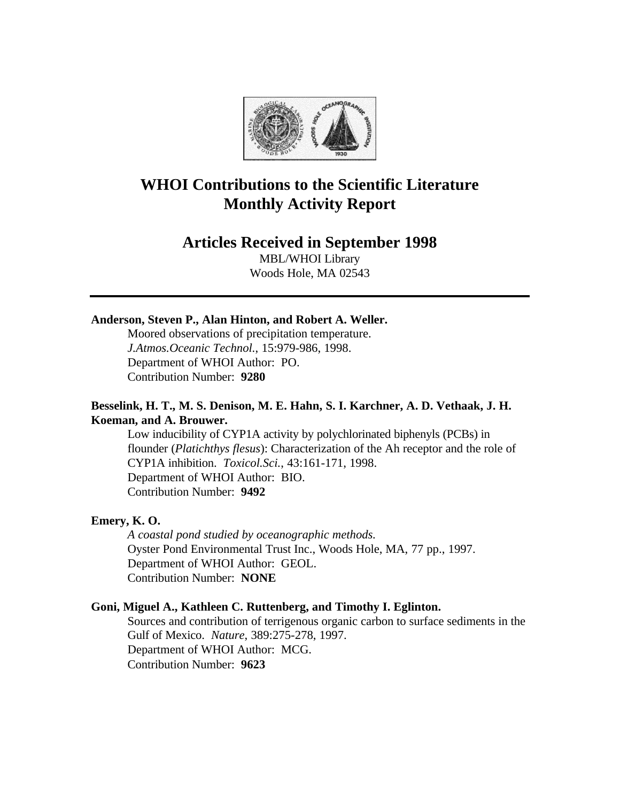

# **WHOI Contributions to the Scientific Literature Monthly Activity Report**

## **Articles Received in September 1998**

MBL/WHOI Library Woods Hole, MA 02543

### **Anderson, Steven P., Alan Hinton, and Robert A. Weller.**

Moored observations of precipitation temperature. *J.Atmos.Oceanic Technol.*, 15:979-986, 1998. Department of WHOI Author: PO. Contribution Number: **9280**

### **Besselink, H. T., M. S. Denison, M. E. Hahn, S. I. Karchner, A. D. Vethaak, J. H. Koeman, and A. Brouwer.**

Low inducibility of CYP1A activity by polychlorinated biphenyls (PCBs) in flounder (*Platichthys flesus*): Characterization of the Ah receptor and the role of CYP1A inhibition. *Toxicol.Sci.*, 43:161-171, 1998. Department of WHOI Author: BIO. Contribution Number: **9492**

#### **Emery, K. O.**

*A coastal pond studied by oceanographic methods.* Oyster Pond Environmental Trust Inc., Woods Hole, MA, 77 pp., 1997. Department of WHOI Author: GEOL. Contribution Number: **NONE**

#### **Goni, Miguel A., Kathleen C. Ruttenberg, and Timothy I. Eglinton.**

Sources and contribution of terrigenous organic carbon to surface sediments in the Gulf of Mexico. *Nature*, 389:275-278, 1997. Department of WHOI Author: MCG. Contribution Number: **9623**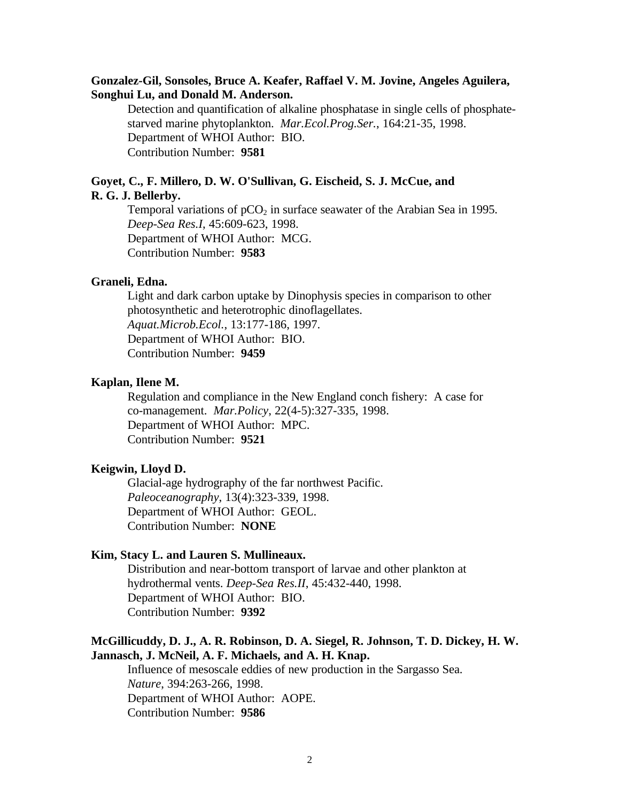### **Gonzalez-Gil, Sonsoles, Bruce A. Keafer, Raffael V. M. Jovine, Angeles Aguilera, Songhui Lu, and Donald M. Anderson.**

Detection and quantification of alkaline phosphatase in single cells of phosphatestarved marine phytoplankton. *Mar.Ecol.Prog.Ser.*, 164:21-35, 1998. Department of WHOI Author: BIO. Contribution Number: **9581**

### **Goyet, C., F. Millero, D. W. O'Sullivan, G. Eischeid, S. J. McCue, and R. G. J. Bellerby.**

Temporal variations of  $pCO<sub>2</sub>$  in surface seawater of the Arabian Sea in 1995. *Deep-Sea Res.I*, 45:609-623, 1998. Department of WHOI Author: MCG. Contribution Number: **9583**

### **Graneli, Edna.**

Light and dark carbon uptake by Dinophysis species in comparison to other photosynthetic and heterotrophic dinoflagellates. *Aquat.Microb.Ecol.*, 13:177-186, 1997. Department of WHOI Author: BIO. Contribution Number: **9459**

#### **Kaplan, Ilene M.**

Regulation and compliance in the New England conch fishery: A case for co-management. *Mar.Policy*, 22(4-5):327-335, 1998. Department of WHOI Author: MPC. Contribution Number: **9521**

### **Keigwin, Lloyd D.**

Glacial-age hydrography of the far northwest Pacific. *Paleoceanography*, 13(4):323-339, 1998. Department of WHOI Author: GEOL. Contribution Number: **NONE**

### **Kim, Stacy L. and Lauren S. Mullineaux.**

Distribution and near-bottom transport of larvae and other plankton at hydrothermal vents. *Deep-Sea Res.II*, 45:432-440, 1998. Department of WHOI Author: BIO. Contribution Number: **9392**

### **McGillicuddy, D. J., A. R. Robinson, D. A. Siegel, R. Johnson, T. D. Dickey, H. W. Jannasch, J. McNeil, A. F. Michaels, and A. H. Knap.**

Influence of mesoscale eddies of new production in the Sargasso Sea. *Nature*, 394:263-266, 1998. Department of WHOI Author: AOPE. Contribution Number: **9586**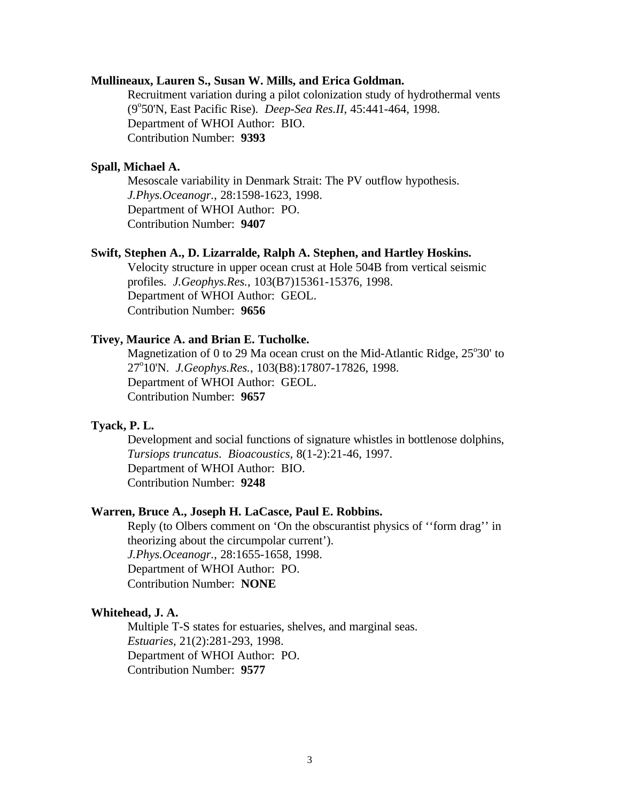### **Mullineaux, Lauren S., Susan W. Mills, and Erica Goldman.**

Recruitment variation during a pilot colonization study of hydrothermal vents (9°50'N, East Pacific Rise). *Deep-Sea Res.II*, 45:441-464, 1998. Department of WHOI Author: BIO. Contribution Number: **9393**

#### **Spall, Michael A.**

Mesoscale variability in Denmark Strait: The PV outflow hypothesis. *J.Phys.Oceanogr.*, 28:1598-1623, 1998. Department of WHOI Author: PO. Contribution Number: **9407**

### **Swift, Stephen A., D. Lizarralde, Ralph A. Stephen, and Hartley Hoskins.**

Velocity structure in upper ocean crust at Hole 504B from vertical seismic profiles. *J.Geophys.Res.*, 103(B7)15361-15376, 1998. Department of WHOI Author: GEOL. Contribution Number: **9656**

#### **Tivey, Maurice A. and Brian E. Tucholke.**

Magnetization of 0 to 29 Ma ocean crust on the Mid-Atlantic Ridge, 25°30' to 27°10'N. *J.Geophys.Res.*, 103(B8):17807-17826, 1998. Department of WHOI Author: GEOL. Contribution Number: **9657**

### **Tyack, P. L.**

Development and social functions of signature whistles in bottlenose dolphins, *Tursiops truncatus*. *Bioacoustics*, 8(1-2):21-46, 1997. Department of WHOI Author: BIO. Contribution Number: **9248**

### **Warren, Bruce A., Joseph H. LaCasce, Paul E. Robbins.**

Reply (to Olbers comment on 'On the obscurantist physics of ''form drag'' in theorizing about the circumpolar current'). *J.Phys.Oceanogr.*, 28:1655-1658, 1998. Department of WHOI Author: PO. Contribution Number: **NONE**

#### **Whitehead, J. A.**

Multiple T-S states for estuaries, shelves, and marginal seas. *Estuaries*, 21(2):281-293, 1998. Department of WHOI Author: PO. Contribution Number: **9577**